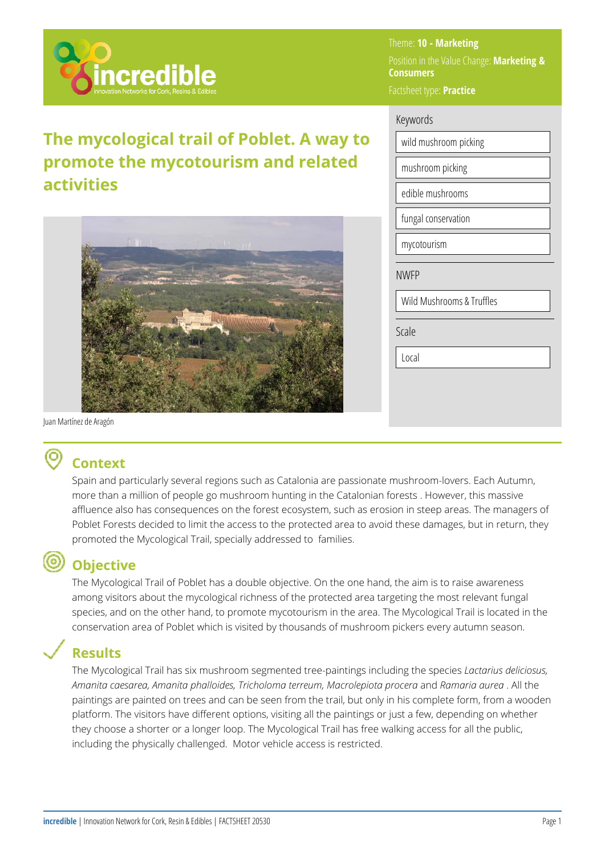

# **The mycological trail of Poblet. A way to promote the mycotourism and related activities**



Theme: **10 - Marketing**  Position in the Value Change: **Marketing & Consumers**  Factsheet type: **Practice** 

### Keywords

wild mushroom picking mushroom picking edible mushrooms fungal conservation mycotourism

NWFP

Wild Mushrooms & Truffles

Scale

Local

Juan Martínez de Aragón

# **Context**

Spain and particularly several regions such as Catalonia are passionate mushroom-lovers. Each Autumn, more than a million of people go mushroom hunting in the Catalonian forests . However, this massive affluence also has consequences on the forest ecosystem, such as erosion in steep areas. The managers of Poblet Forests decided to limit the access to the protected area to avoid these damages, but in return, they promoted the Mycological Trail, specially addressed to families.

## **Objective**

The Mycological Trail of Poblet has a double objective. On the one hand, the aim is to raise awareness among visitors about the mycological richness of the protected area targeting the most relevant fungal species, and on the other hand, to promote mycotourism in the area. The Mycological Trail is located in the conservation area of Poblet which is visited by thousands of mushroom pickers every autumn season.

## **Results**

The Mycological Trail has six mushroom segmented tree-paintings including the species *Lactarius deliciosus, Amanita caesarea, Amanita phalloides, Tricholoma terreum, Macrolepiota procera* and *Ramaria aurea* . All the paintings are painted on trees and can be seen from the trail, but only in his complete form, from a wooden platform. The visitors have different options, visiting all the paintings or just a few, depending on whether they choose a shorter or a longer loop. The Mycological Trail has free walking access for all the public, including the physically challenged. Motor vehicle access is restricted.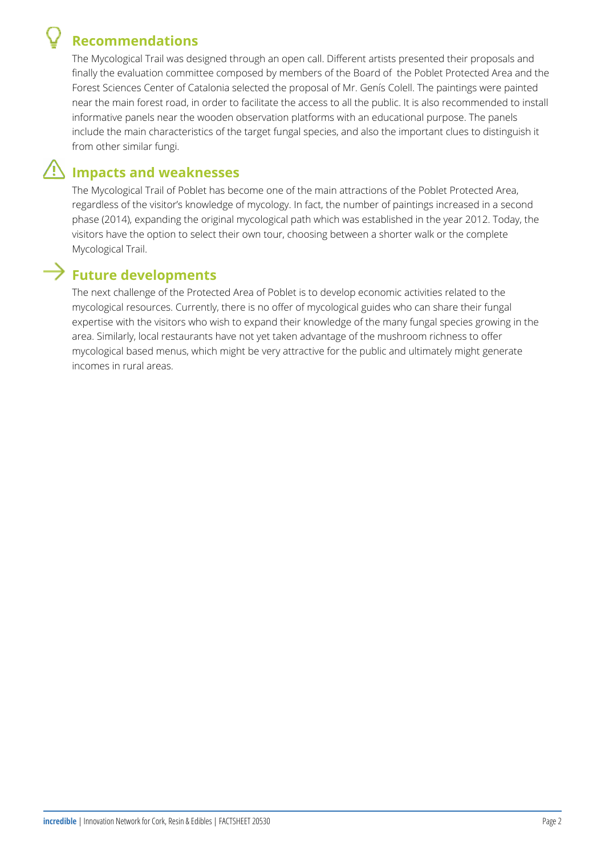# **Recommendations**

The Mycological Trail was designed through an open call. Different artists presented their proposals and finally the evaluation committee composed by members of the Board of the Poblet Protected Area and the Forest Sciences Center of Catalonia selected the proposal of Mr. Genís Colell. The paintings were painted near the main forest road, in order to facilitate the access to all the public. It is also recommended to install informative panels near the wooden observation platforms with an educational purpose. The panels include the main characteristics of the target fungal species, and also the important clues to distinguish it from other similar fungi.

## **Impacts and weaknesses**

The Mycological Trail of Poblet has become one of the main attractions of the Poblet Protected Area, regardless of the visitor's knowledge of mycology. In fact, the number of paintings increased in a second phase (2014), expanding the original mycological path which was established in the year 2012. Today, the visitors have the option to select their own tour, choosing between a shorter walk or the complete Mycological Trail.

# **Future developments**

The next challenge of the Protected Area of Poblet is to develop economic activities related to the mycological resources. Currently, there is no offer of mycological guides who can share their fungal expertise with the visitors who wish to expand their knowledge of the many fungal species growing in the area. Similarly, local restaurants have not yet taken advantage of the mushroom richness to offer mycological based menus, which might be very attractive for the public and ultimately might generate incomes in rural areas.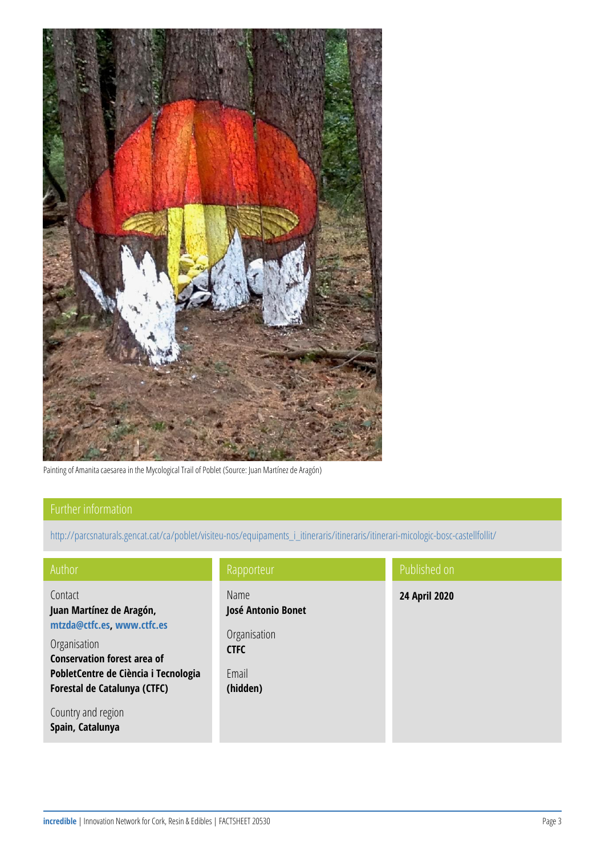

Painting of Amanita caesarea in the Mycological Trail of Poblet (Source: Juan Martínez de Aragón)

[http://parcsnaturals.gencat.cat/ca/poblet/visiteu-nos/equipaments\\_i\\_itineraris/itineraris/itinerari-micologic-bosc-castellfollit/](http://parcsnaturals.gencat.cat/ca/poblet/visiteu-nos/equipaments_i_itineraris/itineraris/itinerari-micologic-bosc-castellfollit/)

| Author                                                                                                                                                                                          | Rapporteur                                                                     | Published on  |
|-------------------------------------------------------------------------------------------------------------------------------------------------------------------------------------------------|--------------------------------------------------------------------------------|---------------|
| Contact<br>Juan Martínez de Aragón,<br>mtzda@ctfc.es. www.ctfc.es<br>Organisation<br><b>Conservation forest area of</b><br>PobletCentre de Ciència i Tecnologia<br>Forestal de Catalunya (CTFC) | Name<br>José Antonio Bonet<br>Organisation<br><b>CTFC</b><br>Email<br>(hidden) | 24 April 2020 |
| Country and region<br>Spain, Catalunya                                                                                                                                                          |                                                                                |               |